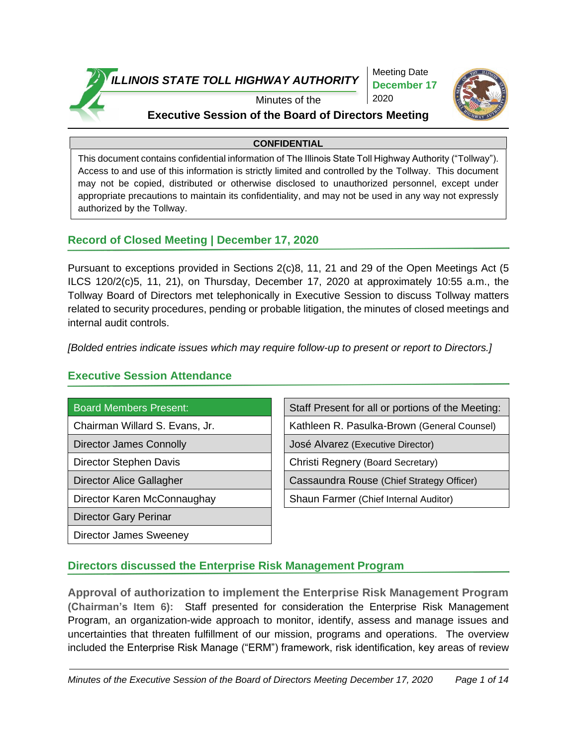

Meeting Date **December 17** 2020



# Minutes of the

### **Executive Session of the Board of Directors Meeting**

### **CONFIDENTIAL**

This document contains confidential information of The Illinois State Toll Highway Authority ("Tollway"). Access to and use of this information is strictly limited and controlled by the Tollway. This document may not be copied, distributed or otherwise disclosed to unauthorized personnel, except under appropriate precautions to maintain its confidentiality, and may not be used in any way not expressly authorized by the Tollway.

### **Record of Closed Meeting | December 17, 2020**

Pursuant to exceptions provided in Sections 2(c)8, 11, 21 and 29 of the Open Meetings Act (5 ILCS 120/2(c)5, 11, 21), on Thursday, December 17, 2020 at approximately 10:55 a.m., the Tollway Board of Directors met telephonically in Executive Session to discuss Tollway matters related to security procedures, pending or probable litigation, the minutes of closed meetings and internal audit controls.

*[Bolded entries indicate issues which may require follow-up to present or report to Directors.]*

### **Executive Session Attendance**

- 
- 
- 
- 
- Director Gary Perinar
- Director James Sweeney

Board Members Present: Staff Present for all or portions of the Meeting:

Chairman Willard S. Evans, Jr. Kathleen R. Pasulka-Brown (General Counsel)

Director James Connolly José Alvarez (Executive Director)

Director Stephen Davis Christi Regnery (Board Secretary)

Director Alice Gallagher Cassaundra Rouse (Chief Strategy Officer)

Director Karen McConnaughay Shaun Farmer (Chief Internal Auditor)

# **Directors discussed the Enterprise Risk Management Program**

**Approval of authorization to implement the Enterprise Risk Management Program (Chairman's Item 6):** Staff presented for consideration the Enterprise Risk Management Program, an organization-wide approach to monitor, identify, assess and manage issues and uncertainties that threaten fulfillment of our mission, programs and operations. The overview included the Enterprise Risk Manage ("ERM") framework, risk identification, key areas of review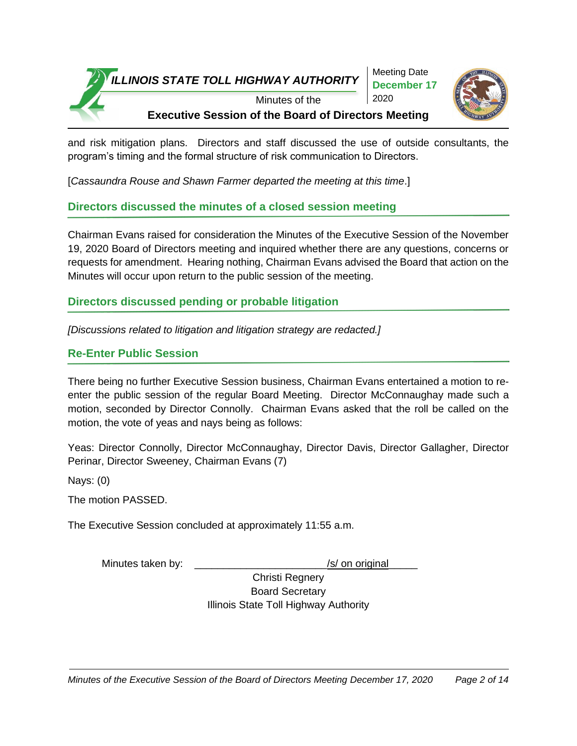

and risk mitigation plans. Directors and staff discussed the use of outside consultants, the program's timing and the formal structure of risk communication to Directors.

[*Cassaundra Rouse and Shawn Farmer departed the meeting at this time*.]

# **Directors discussed the minutes of a closed session meeting**

Chairman Evans raised for consideration the Minutes of the Executive Session of the November 19, 2020 Board of Directors meeting and inquired whether there are any questions, concerns or requests for amendment. Hearing nothing, Chairman Evans advised the Board that action on the Minutes will occur upon return to the public session of the meeting.

# **Directors discussed pending or probable litigation**

*[Discussions related to litigation and litigation strategy are redacted.]*

# **Re-Enter Public Session**

There being no further Executive Session business, Chairman Evans entertained a motion to reenter the public session of the regular Board Meeting. Director McConnaughay made such a motion, seconded by Director Connolly. Chairman Evans asked that the roll be called on the motion, the vote of yeas and nays being as follows:

Yeas: Director Connolly, Director McConnaughay, Director Davis, Director Gallagher, Director Perinar, Director Sweeney, Chairman Evans (7)

Nays: (0)

The motion PASSED.

The Executive Session concluded at approximately 11:55 a.m.

Minutes taken by:  $\frac{1}{s}$  /s/ on original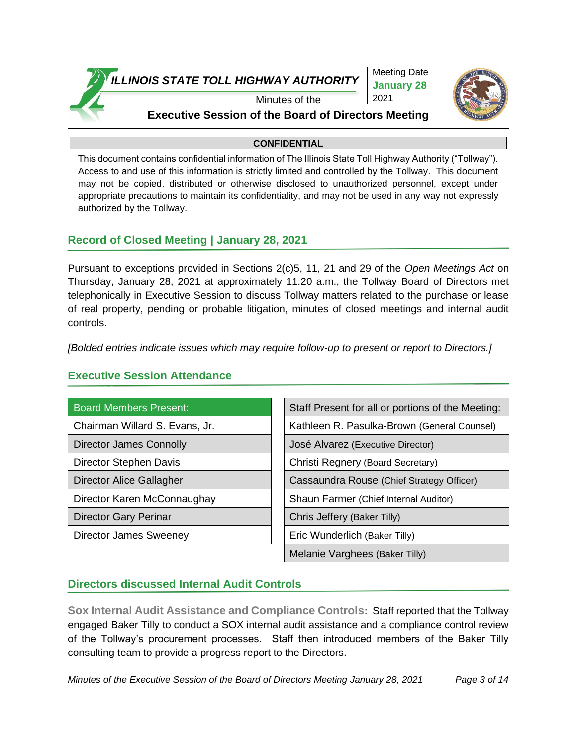

Meeting Date **January 28**  2021



### Minutes of the **Executive Session of the Board of Directors Meeting**

### **CONFIDENTIAL**

This document contains confidential information of The Illinois State Toll Highway Authority ("Tollway"). Access to and use of this information is strictly limited and controlled by the Tollway. This document may not be copied, distributed or otherwise disclosed to unauthorized personnel, except under appropriate precautions to maintain its confidentiality, and may not be used in any way not expressly authorized by the Tollway.

### **Record of Closed Meeting | January 28, 2021**

Pursuant to exceptions provided in Sections 2(c)5, 11, 21 and 29 of the *Open Meetings Act* on Thursday, January 28, 2021 at approximately 11:20 a.m., the Tollway Board of Directors met telephonically in Executive Session to discuss Tollway matters related to the purchase or lease of real property, pending or probable litigation, minutes of closed meetings and internal audit controls.

*[Bolded entries indicate issues which may require follow-up to present or report to Directors.]*

| <b>Board Members Present:</b>  | Staff Present for all or portions of the Meeting: |
|--------------------------------|---------------------------------------------------|
| Chairman Willard S. Evans, Jr. | Kathleen R. Pasulka-Brown (General Counsel)       |
| Director James Connolly        | José Alvarez (Executive Director)                 |
| Director Stephen Davis         | Christi Regnery (Board Secretary)                 |
| Director Alice Gallagher       | Cassaundra Rouse (Chief Strategy Officer)         |
| Director Karen McConnaughay    | Shaun Farmer (Chief Internal Auditor)             |
| <b>Director Gary Perinar</b>   | Chris Jeffery (Baker Tilly)                       |
| Director James Sweeney         | Eric Wunderlich (Baker Tilly)                     |
|                                | Melanie Varghees (Baker Tilly)                    |

### **Executive Session Attendance**

# **Directors discussed Internal Audit Controls**

**Sox Internal Audit Assistance and Compliance Controls:** Staff reported that the Tollway engaged Baker Tilly to conduct a SOX internal audit assistance and a compliance control review of the Tollway's procurement processes. Staff then introduced members of the Baker Tilly consulting team to provide a progress report to the Directors.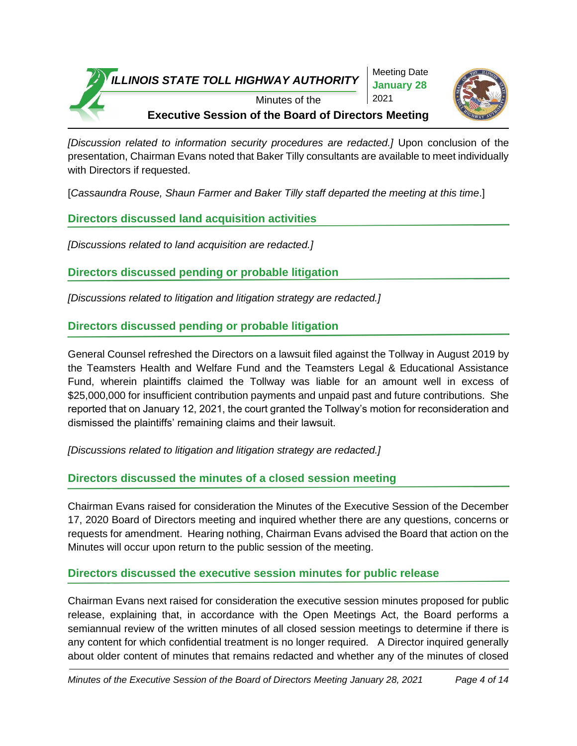Meeting Date **January 28**  2021



Minutes of the **Executive Session of the Board of Directors Meeting**

*[Discussion related to information security procedures are redacted.]* Upon conclusion of the presentation, Chairman Evans noted that Baker Tilly consultants are available to meet individually with Directors if requested.

[*Cassaundra Rouse, Shaun Farmer and Baker Tilly staff departed the meeting at this time*.]

**Directors discussed land acquisition activities**

*[Discussions related to land acquisition are redacted.]*

**Directors discussed pending or probable litigation**

*[Discussions related to litigation and litigation strategy are redacted.]* 

# **Directors discussed pending or probable litigation**

General Counsel refreshed the Directors on a lawsuit filed against the Tollway in August 2019 by the Teamsters Health and Welfare Fund and the Teamsters Legal & Educational Assistance Fund, wherein plaintiffs claimed the Tollway was liable for an amount well in excess of \$25,000,000 for insufficient contribution payments and unpaid past and future contributions. She reported that on January 12, 2021, the court granted the Tollway's motion for reconsideration and dismissed the plaintiffs' remaining claims and their lawsuit.

*[Discussions related to litigation and litigation strategy are redacted.]*

# **Directors discussed the minutes of a closed session meeting**

Chairman Evans raised for consideration the Minutes of the Executive Session of the December 17, 2020 Board of Directors meeting and inquired whether there are any questions, concerns or requests for amendment. Hearing nothing, Chairman Evans advised the Board that action on the Minutes will occur upon return to the public session of the meeting.

# **Directors discussed the executive session minutes for public release**

Chairman Evans next raised for consideration the executive session minutes proposed for public release, explaining that, in accordance with the Open Meetings Act, the Board performs a semiannual review of the written minutes of all closed session meetings to determine if there is any content for which confidential treatment is no longer required. A Director inquired generally about older content of minutes that remains redacted and whether any of the minutes of closed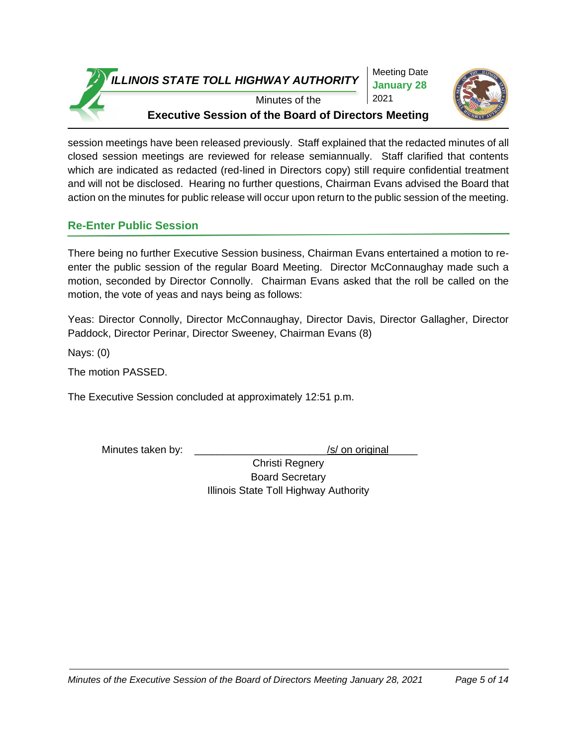Meeting Date **January 28**  2021



Minutes of the **Executive Session of the Board of Directors Meeting**

session meetings have been released previously. Staff explained that the redacted minutes of all closed session meetings are reviewed for release semiannually. Staff clarified that contents which are indicated as redacted (red-lined in Directors copy) still require confidential treatment and will not be disclosed. Hearing no further questions, Chairman Evans advised the Board that action on the minutes for public release will occur upon return to the public session of the meeting.

### **Re-Enter Public Session**

There being no further Executive Session business, Chairman Evans entertained a motion to reenter the public session of the regular Board Meeting. Director McConnaughay made such a motion, seconded by Director Connolly. Chairman Evans asked that the roll be called on the motion, the vote of yeas and nays being as follows:

Yeas: Director Connolly, Director McConnaughay, Director Davis, Director Gallagher, Director Paddock, Director Perinar, Director Sweeney, Chairman Evans (8)

Nays: (0)

The motion PASSED.

The Executive Session concluded at approximately 12:51 p.m.

Minutes taken by: \_\_\_\_\_\_\_\_\_\_\_\_\_\_\_\_\_\_\_\_\_\_\_\_\_\_\_\_\_\_\_\_\_/s/ on original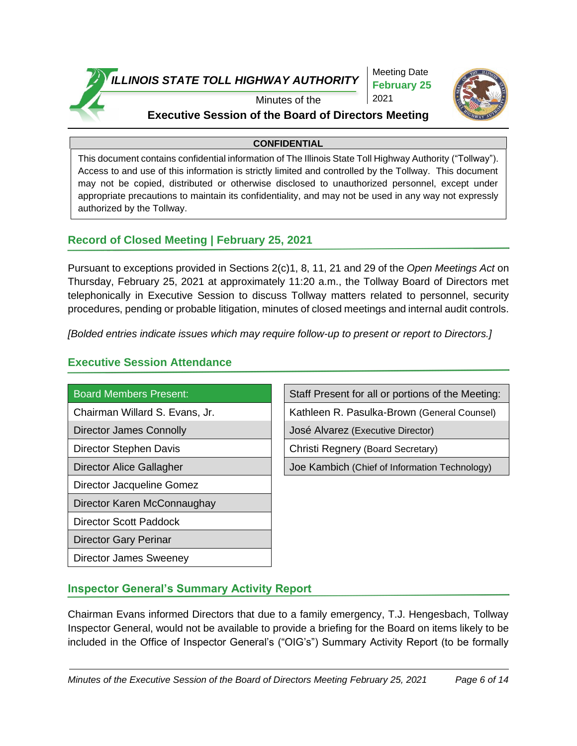

Meeting Date **February 25**  2021



# Minutes of the

# **Executive Session of the Board of Directors Meeting**

### **CONFIDENTIAL**

This document contains confidential information of The Illinois State Toll Highway Authority ("Tollway"). Access to and use of this information is strictly limited and controlled by the Tollway. This document may not be copied, distributed or otherwise disclosed to unauthorized personnel, except under appropriate precautions to maintain its confidentiality, and may not be used in any way not expressly authorized by the Tollway.

### **Record of Closed Meeting | February 25, 2021**

Pursuant to exceptions provided in Sections 2(c)1, 8, 11, 21 and 29 of the *Open Meetings Act* on Thursday, February 25, 2021 at approximately 11:20 a.m., the Tollway Board of Directors met telephonically in Executive Session to discuss Tollway matters related to personnel, security procedures, pending or probable litigation, minutes of closed meetings and internal audit controls.

*[Bolded entries indicate issues which may require follow-up to present or report to Directors.]*

### **Executive Session Attendance**

Director Jacqueline Gomez

Director Karen McConnaughay

Director Scott Paddock

Director Gary Perinar

Director James Sweeney

Board Members Present: Staff Present for all or portions of the Meeting:

Chairman Willard S. Evans, Jr. Kathleen R. Pasulka-Brown (General Counsel)

Director James Connolly **Connolly** José Alvarez (Executive Director)

Director Stephen Davis **Christi** Regnery (Board Secretary)

Director Alice Gallagher Joe Joe Kambich (Chief of Information Technology)

### **Inspector General's Summary Activity Report**

Chairman Evans informed Directors that due to a family emergency, T.J. Hengesbach, Tollway Inspector General, would not be available to provide a briefing for the Board on items likely to be included in the Office of Inspector General's ("OIG's") Summary Activity Report (to be formally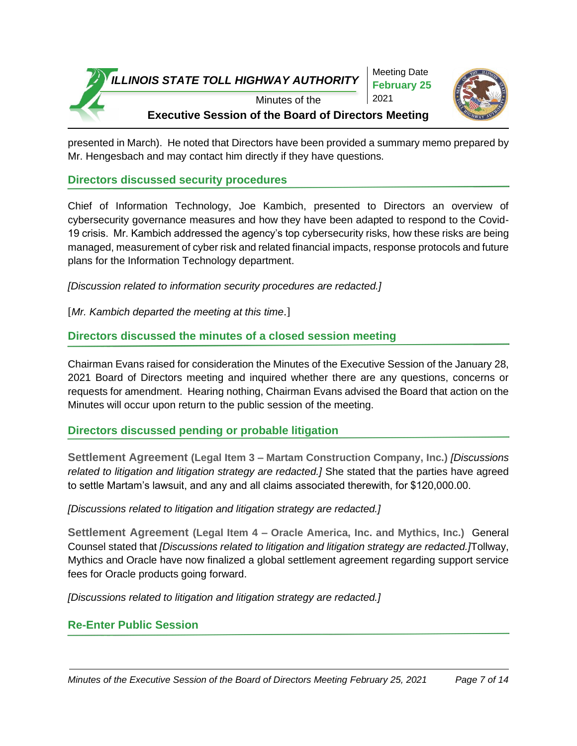

presented in March). He noted that Directors have been provided a summary memo prepared by Mr. Hengesbach and may contact him directly if they have questions.

**Directors discussed security procedures**

Chief of Information Technology, Joe Kambich, presented to Directors an overview of cybersecurity governance measures and how they have been adapted to respond to the Covid-19 crisis. Mr. Kambich addressed the agency's top cybersecurity risks, how these risks are being managed, measurement of cyber risk and related financial impacts, response protocols and future plans for the Information Technology department.

*[Discussion related to information security procedures are redacted.]* 

[*Mr. Kambich departed the meeting at this time*.]

### **Directors discussed the minutes of a closed session meeting**

Chairman Evans raised for consideration the Minutes of the Executive Session of the January 28, 2021 Board of Directors meeting and inquired whether there are any questions, concerns or requests for amendment. Hearing nothing, Chairman Evans advised the Board that action on the Minutes will occur upon return to the public session of the meeting.

**Directors discussed pending or probable litigation**

**Settlement Agreement (Legal Item 3 – Martam Construction Company, Inc.)** *[Discussions related to litigation and litigation strategy are redacted.]* She stated that the parties have agreed to settle Martam's lawsuit, and any and all claims associated therewith, for \$120,000.00.

*[Discussions related to litigation and litigation strategy are redacted.]* 

**Settlement Agreement (Legal Item 4 – Oracle America, Inc. and Mythics, Inc.)** General Counsel stated that *[Discussions related to litigation and litigation strategy are redacted.]*Tollway, Mythics and Oracle have now finalized a global settlement agreement regarding support service fees for Oracle products going forward.

*[Discussions related to litigation and litigation strategy are redacted.]* 

### **Re-Enter Public Session**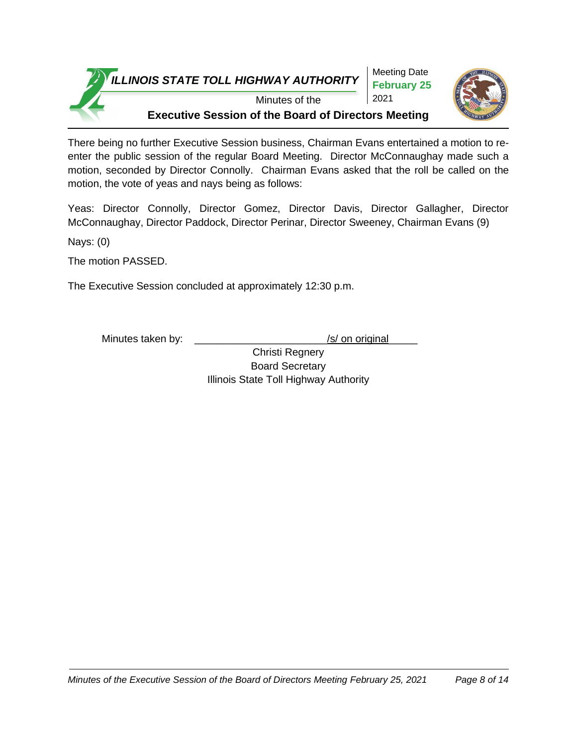

There being no further Executive Session business, Chairman Evans entertained a motion to reenter the public session of the regular Board Meeting. Director McConnaughay made such a motion, seconded by Director Connolly. Chairman Evans asked that the roll be called on the motion, the vote of yeas and nays being as follows:

Yeas: Director Connolly, Director Gomez, Director Davis, Director Gallagher, Director McConnaughay, Director Paddock, Director Perinar, Director Sweeney, Chairman Evans (9)

Nays: (0)

The motion PASSED.

The Executive Session concluded at approximately 12:30 p.m.

Minutes taken by:  $\sqrt{s}$  on original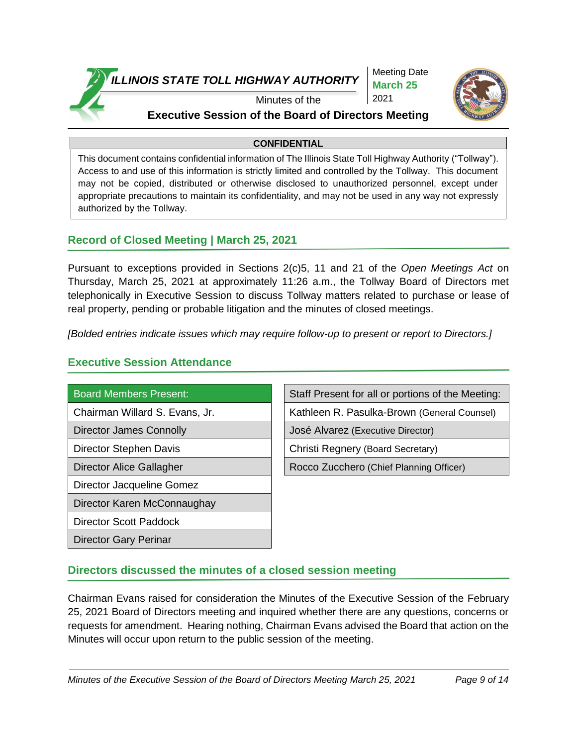

Meeting Date **March 25** 2021



### Minutes of the

### **Executive Session of the Board of Directors Meeting**

### **CONFIDENTIAL**

This document contains confidential information of The Illinois State Toll Highway Authority ("Tollway"). Access to and use of this information is strictly limited and controlled by the Tollway. This document may not be copied, distributed or otherwise disclosed to unauthorized personnel, except under appropriate precautions to maintain its confidentiality, and may not be used in any way not expressly authorized by the Tollway.

### **Record of Closed Meeting | March 25, 2021**

Pursuant to exceptions provided in Sections 2(c)5, 11 and 21 of the *Open Meetings Act* on Thursday, March 25, 2021 at approximately 11:26 a.m., the Tollway Board of Directors met telephonically in Executive Session to discuss Tollway matters related to purchase or lease of real property, pending or probable litigation and the minutes of closed meetings.

*[Bolded entries indicate issues which may require follow-up to present or report to Directors.]*

### **Executive Session Attendance**

Director Jacqueline Gomez

Director Karen McConnaughay

Director Scott Paddock

Director Gary Perinar

Board Members Present: Staff Present for all or portions of the Meeting:

Chairman Willard S. Evans, Jr. Kathleen R. Pasulka-Brown (General Counsel)

Director James Connolly **Connolly** José Alvarez (Executive Director)

Director Stephen Davis **Christi** Regnery (Board Secretary)

Director Alice Gallagher Rocco Zucchero (Chief Planning Officer)

### **Directors discussed the minutes of a closed session meeting**

Chairman Evans raised for consideration the Minutes of the Executive Session of the February 25, 2021 Board of Directors meeting and inquired whether there are any questions, concerns or requests for amendment. Hearing nothing, Chairman Evans advised the Board that action on the Minutes will occur upon return to the public session of the meeting.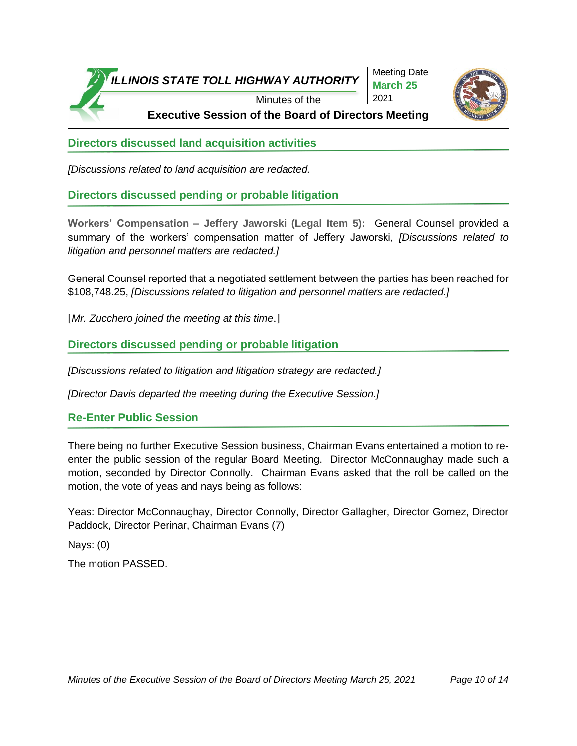

Meeting Date **March 25** 2021



**Executive Session of the Board of Directors Meeting**

**Directors discussed land acquisition activities**

*[Discussions related to land acquisition are redacted.*

**Directors discussed pending or probable litigation**

**Workers' Compensation – Jeffery Jaworski (Legal Item 5):** General Counsel provided a summary of the workers' compensation matter of Jeffery Jaworski, *[Discussions related to litigation and personnel matters are redacted.]*

General Counsel reported that a negotiated settlement between the parties has been reached for \$108,748.25, *[Discussions related to litigation and personnel matters are redacted.]*

[*Mr. Zucchero joined the meeting at this time*.]

**Directors discussed pending or probable litigation**

*[Discussions related to litigation and litigation strategy are redacted.]*

*[Director Davis departed the meeting during the Executive Session.]*

**Re-Enter Public Session**

There being no further Executive Session business, Chairman Evans entertained a motion to reenter the public session of the regular Board Meeting. Director McConnaughay made such a motion, seconded by Director Connolly. Chairman Evans asked that the roll be called on the motion, the vote of yeas and nays being as follows:

Yeas: Director McConnaughay, Director Connolly, Director Gallagher, Director Gomez, Director Paddock, Director Perinar, Chairman Evans (7)

Nays: (0)

The motion PASSED.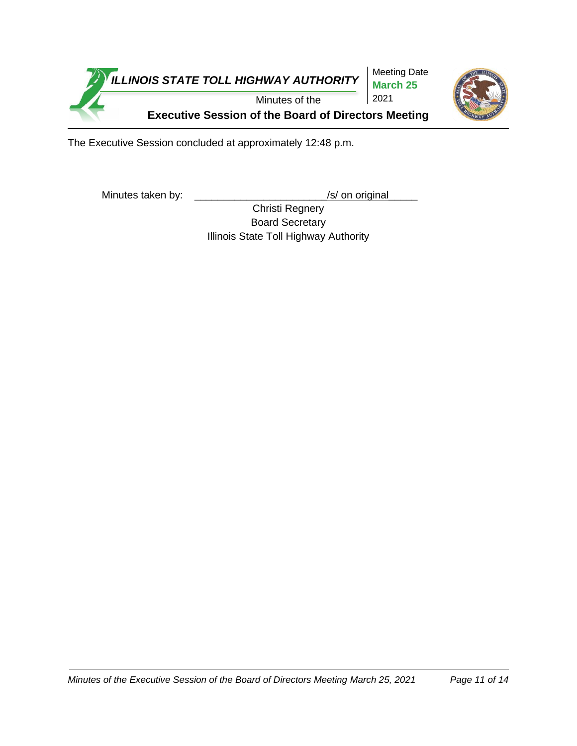

The Executive Session concluded at approximately 12:48 p.m.

Minutes taken by: \_\_\_\_\_\_\_\_\_\_\_\_\_\_\_\_\_\_\_\_\_\_\_\_\_\_\_\_\_\_\_\_/s/ on original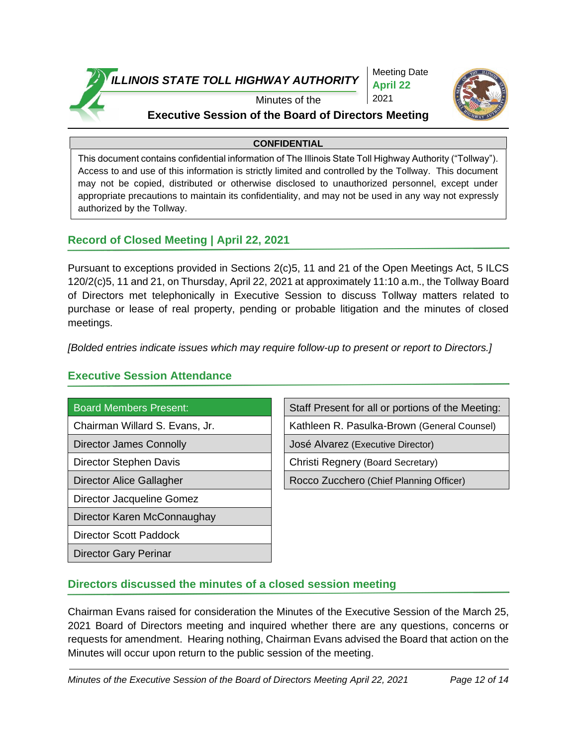

Meeting Date **April 22** 2021



### Minutes of the

### **Executive Session of the Board of Directors Meeting**

### **CONFIDENTIAL**

This document contains confidential information of The Illinois State Toll Highway Authority ("Tollway"). Access to and use of this information is strictly limited and controlled by the Tollway. This document may not be copied, distributed or otherwise disclosed to unauthorized personnel, except under appropriate precautions to maintain its confidentiality, and may not be used in any way not expressly authorized by the Tollway.

### **Record of Closed Meeting | April 22, 2021**

Pursuant to exceptions provided in Sections 2(c)5, 11 and 21 of the Open Meetings Act, 5 ILCS 120/2(c)5, 11 and 21, on Thursday, April 22, 2021 at approximately 11:10 a.m., the Tollway Board of Directors met telephonically in Executive Session to discuss Tollway matters related to purchase or lease of real property, pending or probable litigation and the minutes of closed meetings.

*[Bolded entries indicate issues which may require follow-up to present or report to Directors.]*

### **Executive Session Attendance**

Director Jacqueline Gomez

Director Karen McConnaughay

Director Scott Paddock

Director Gary Perinar

Board Members Present: Staff Present for all or portions of the Meeting:

Chairman Willard S. Evans, Jr. Kathleen R. Pasulka-Brown (General Counsel)

Director James Connolly José Alvarez (Executive Director)

Director Stephen Davis Christi Regnery (Board Secretary)

Director Alice Gallagher Rocco Zucchero (Chief Planning Officer)

### **Directors discussed the minutes of a closed session meeting**

Chairman Evans raised for consideration the Minutes of the Executive Session of the March 25, 2021 Board of Directors meeting and inquired whether there are any questions, concerns or requests for amendment. Hearing nothing, Chairman Evans advised the Board that action on the Minutes will occur upon return to the public session of the meeting.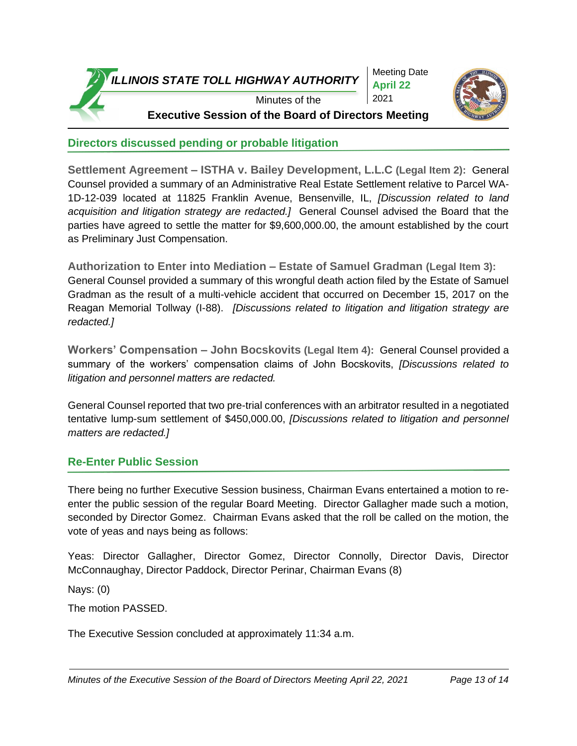

Meeting Date **April 22** 2021



**Executive Session of the Board of Directors Meeting**

# **Directors discussed pending or probable litigation**

**Settlement Agreement – ISTHA v. Bailey Development, L.L.C (Legal Item 2):** General Counsel provided a summary of an Administrative Real Estate Settlement relative to Parcel WA-1D-12-039 located at 11825 Franklin Avenue, Bensenville, IL, *[Discussion related to land acquisition and litigation strategy are redacted.]* General Counsel advised the Board that the parties have agreed to settle the matter for \$9,600,000.00, the amount established by the court as Preliminary Just Compensation.

**Authorization to Enter into Mediation – Estate of Samuel Gradman (Legal Item 3):** General Counsel provided a summary of this wrongful death action filed by the Estate of Samuel Gradman as the result of a multi-vehicle accident that occurred on December 15, 2017 on the Reagan Memorial Tollway (I-88). *[Discussions related to litigation and litigation strategy are redacted.]* 

**Workers' Compensation – John Bocskovits (Legal Item 4):** General Counsel provided a summary of the workers' compensation claims of John Bocskovits, *[Discussions related to litigation and personnel matters are redacted.*

General Counsel reported that two pre-trial conferences with an arbitrator resulted in a negotiated tentative lump-sum settlement of \$450,000.00, *[Discussions related to litigation and personnel matters are redacted.]*

# **Re-Enter Public Session**

There being no further Executive Session business, Chairman Evans entertained a motion to reenter the public session of the regular Board Meeting. Director Gallagher made such a motion, seconded by Director Gomez. Chairman Evans asked that the roll be called on the motion, the vote of yeas and nays being as follows:

Yeas: Director Gallagher, Director Gomez, Director Connolly, Director Davis, Director McConnaughay, Director Paddock, Director Perinar, Chairman Evans (8)

Nays: (0)

The motion PASSED.

The Executive Session concluded at approximately 11:34 a.m.